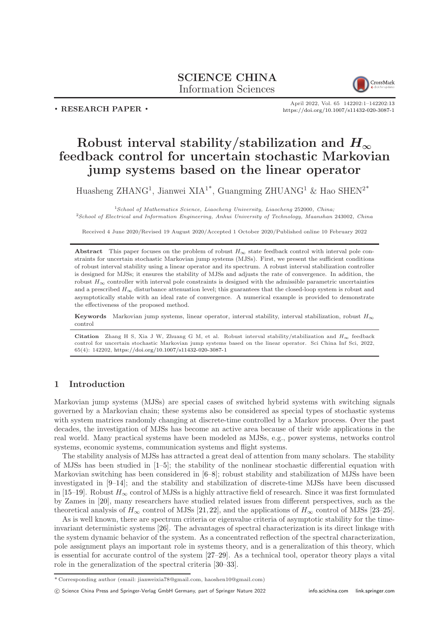## SCIENCE CHINA Information Sciences



. RESEARCH PAPER .

April 2022, Vol. 65 142202:1–142202[:13](#page-12-0) <https://doi.org/10.1007/s11432-020-3087-1>

# Robust interval stability/stabilization and  $H_{\infty}$ feedback control for uncertain stochastic Markovian jump systems based on the linear operator

Huasheng ZHANG<sup>1</sup>, Jianwei XIA<sup>1\*</sup>, Guangming ZHUANG<sup>1</sup> & Hao SHEN<sup>2\*</sup>

 $1$ School of Mathematics Science, Liaocheng University, Liaocheng 252000, China; <sup>2</sup>School of Electrical and Information Engineering, Anhui University of Technology, Maanshan 243002, China

Received 4 June 2020/Revised 19 August 2020/Accepted 1 October 2020/Published online 10 February 2022

Abstract This paper focuses on the problem of robust  $H_{\infty}$  state feedback control with interval pole constraints for uncertain stochastic Markovian jump systems (MJSs). First, we present the sufficient conditions of robust interval stability using a linear operator and its spectrum. A robust interval stabilization controller is designed for MJSs; it ensures the stability of MJSs and adjusts the rate of convergence. In addition, the robust  $H_{\infty}$  controller with interval pole constraints is designed with the admissible parametric uncertainties and a prescribed  $H_{\infty}$  disturbance attenuation level; this guarantees that the closed-loop system is robust and asymptotically stable with an ideal rate of convergence. A numerical example is provided to demonstrate the effectiveness of the proposed method.

Keywords Markovian jump systems, linear operator, interval stability, interval stabilization, robust  $H_{\infty}$ control

Citation Zhang H S, Xia J W, Zhuang G M, et al. Robust interval stability/stabilization and  $H_{\infty}$  feedback control for uncertain stochastic Markovian jump systems based on the linear operator. Sci China Inf Sci, 2022, 65(4): 142202, <https://doi.org/10.1007/s11432-020-3087-1>

## 1 Introduction

Markovian jump systems (MJSs) are special cases of switched hybrid systems with switching signals governed by a Markovian chain; these systems also be considered as special types of stochastic systems with system matrices randomly changing at discrete-time controlled by a Markov process. Over the past decades, the investigation of MJSs has become an active area because of their wide applications in the real world. Many practical systems have been modeled as MJSs, e.g., power systems, networks control systems, economic systems, communication systems and flight systems.

The stability analysis of MJSs has attracted a great deal of attention from many scholars. The stability of MJSs has been studied in [\[1](#page-11-0)[–5\]](#page-11-1); the stability of the nonlinear stochastic differential equation with Markovian switching has been considered in  $[6-8]$  $[6-8]$ ; robust stability and stabilization of MJSs have been investigated in [\[9](#page-11-4)[–14\]](#page-11-5); and the stability and stabilization of discrete-time MJSs have been discussed in [\[15](#page-11-6)[–19\]](#page-11-7). Robust  $H_{\infty}$  control of MJSs is a highly attractive field of research. Since it was first formulated by Zames in [\[20\]](#page-11-8), many researchers have studied related issues from different perspectives, such as the theoretical analysis of  $H_{\infty}$  control of MJSs [\[21,](#page-12-1) [22\]](#page-12-2), and the applications of  $H_{\infty}$  control of MJSs [\[23](#page-12-3)[–25\]](#page-12-4).

As is well known, there are spectrum criteria or eigenvalue criteria of asymptotic stability for the timeinvariant deterministic systems [\[26\]](#page-12-5). The advantages of spectral characterization is its direct linkage with the system dynamic behavior of the system. As a concentrated reflection of the spectral characterization, pole assignment plays an important role in systems theory, and is a generalization of this theory, which is essential for accurate control of the system [\[27](#page-12-6)[–29\]](#page-12-7). As a technical tool, operator theory plays a vital role in the generalization of the spectral criteria [\[30–](#page-12-8)[33\]](#page-12-9).

<sup>\*</sup> Corresponding author (email: jianweixia78@gmail.com, haoshen10@gmail.com)

c Science China Press and Springer-Verlag GmbH Germany, part of Springer Nature 2022 <info.scichina.com><link.springer.com>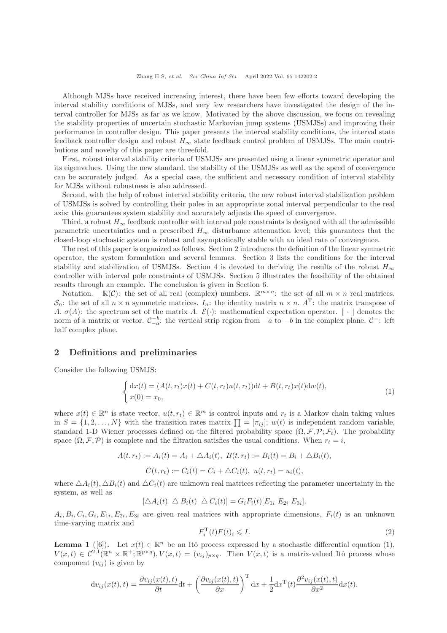Although MJSs have received increasing interest, there have been few efforts toward developing the interval stability conditions of MJSs, and very few researchers have investigated the design of the interval controller for MJSs as far as we know. Motivated by the above discussion, we focus on revealing the stability properties of uncertain stochastic Markovian jump systems (USMJSs) and improving their performance in controller design. This paper presents the interval stability conditions, the interval state feedback controller design and robust  $H_{\infty}$  state feedback control problem of USMJSs. The main contributions and novelty of this paper are threefold.

First, robust interval stability criteria of USMJSs are presented using a linear symmetric operator and its eigenvalues. Using the new standard, the stability of the USMJSs as well as the speed of convergence can be accurately judged. As a special case, the sufficient and necessary condition of interval stability for MJSs without robustness is also addressed.

Second, with the help of robust interval stability criteria, the new robust interval stabilization problem of USMJSs is solved by controlling their poles in an appropriate zonal interval perpendicular to the real axis; this guarantees system stability and accurately adjusts the speed of convergence.

Third, a robust  $H_{\infty}$  feedback controller with interval pole constraints is designed with all the admissible parametric uncertainties and a prescribed  $H_{\infty}$  disturbance attenuation level; this guarantees that the closed-loop stochastic system is robust and asymptotically stable with an ideal rate of convergence.

The rest of this paper is organized as follows. Section 2 introduces the definition of the linear symmetric operator, the system formulation and several lemmas. Section 3 lists the conditions for the interval stability and stabilization of USMJSs. Section 4 is devoted to deriving the results of the robust  $H_{\infty}$ controller with interval pole constraints of USMJSs. Section 5 illustrates the feasibility of the obtained results through an example. The conclusion is given in Section 6.

Notation.  $\mathbb{R}(\mathcal{C})$ : the set of all real (complex) numbers.  $\mathbb{R}^{m \times n}$ : the set of all  $m \times n$  real matrices.  $S_n$ : the set of all  $n \times n$  symmetric matrices.  $I_n$ : the identity matrix  $n \times n$ .  $A^T$ : the matrix transpose of A.  $\sigma(A)$ : the spectrum set of the matrix A.  $\mathcal{E}(\cdot)$ : mathematical expectation operator.  $\|\cdot\|$  denotes the norm of a matrix or vector.  $\mathcal{C}_{-a}^{-b}$ : the vertical strip region from  $-a$  to  $-b$  in the complex plane.  $\mathcal{C}^-$ : left half complex plane.

### 2 Definitions and preliminaries

Consider the following USMJS:

<span id="page-1-0"></span>
$$
\begin{cases} dx(t) = (A(t, r_t)x(t) + C(t, r_t)u(t, r_t))dt + B(t, r_t)x(t)dw(t), \\ x(0) = x_0, \end{cases}
$$
 (1)

where  $x(t) \in \mathbb{R}^n$  is state vector,  $u(t, r_t) \in \mathbb{R}^m$  is control inputs and  $r_t$  is a Markov chain taking values in  $S = \{1, 2, ..., N\}$  with the transition rates matrix  $\prod = [\pi_{ij}]$ ;  $w(t)$  is independent random variable, standard 1-D Wiener processes defined on the filtered probability space  $(\Omega, \mathcal{F}, \mathcal{P}; \mathcal{F}_t)$ . The probability space  $(\Omega, \mathcal{F}, \mathcal{P})$  is complete and the filtration satisfies the usual conditions. When  $r_t = i$ ,

$$
A(t, r_t) := A_i(t) = A_i + \Delta A_i(t), \ B(t, r_t) := B_i(t) = B_i + \Delta B_i(t),
$$
  

$$
C(t, r_t) := C_i(t) = C_i + \Delta C_i(t), \ u(t, r_t) = u_i(t),
$$

where  $\Delta A_i(t), \Delta B_i(t)$  and  $\Delta C_i(t)$  are unknown real matrices reflecting the parameter uncertainty in the system, as well as

$$
[\Delta A_i(t) \ \Delta B_i(t) \ \Delta C_i(t)] = G_i F_i(t) [E_{1i} \ E_{2i} \ E_{3i}].
$$

 $A_i, B_i, C_i, G_i, E_{1i}, E_{2i}, E_{3i}$  are given real matrices with appropriate dimensions,  $F_i(t)$  is an unknown time-varying matrix and

$$
F_i^{\mathrm{T}}(t)F(t)_i \leqslant I. \tag{2}
$$

**Lemma 1** ([\[6\]](#page-11-2)). Let  $x(t) \in \mathbb{R}^n$  be an Itô process expressed by a stochastic differential equation [\(1\)](#page-1-0),  $V(x,t) \in C^{2,1}(\mathbb{R}^n \times \mathbb{R}^+; \mathbb{R}^{p \times q}), V(x,t) = (v_{ij})_{p \times q}$ . Then  $V(x,t)$  is a matrix-valued Itô process whose component  $(v_{ij})$  is given by

$$
dv_{ij}(x(t),t) = \frac{\partial v_{ij}(x(t),t)}{\partial t}dt + \left(\frac{\partial v_{ij}(x(t),t)}{\partial x}\right)^{\mathrm{T}} dx + \frac{1}{2}dx^{\mathrm{T}}(t)\frac{\partial^2 v_{ij}(x(t),t)}{\partial x^2}dx(t).
$$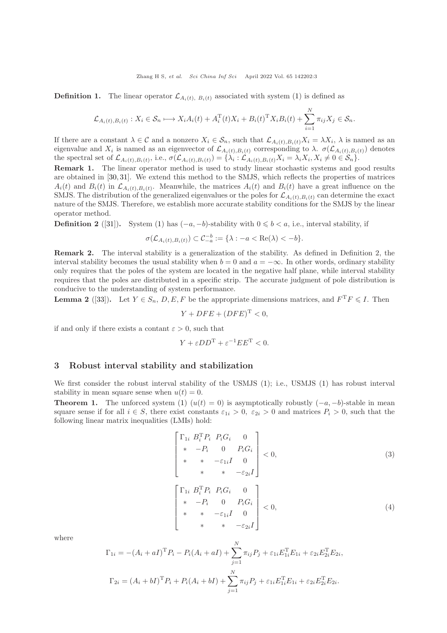**Definition 1.** The linear operator  $\mathcal{L}_{A_i(t), B_i(t)}$  associated with system [\(1\)](#page-1-0) is defined as

$$
\mathcal{L}_{A_i(t),B_i(t)}: X_i \in \mathcal{S}_n \longmapsto X_i A_i(t) + A_i^{\mathrm{T}}(t) X_i + B_i(t)^{\mathrm{T}} X_i B_i(t) + \sum_{i=1}^N \pi_{ij} X_j \in \mathcal{S}_n.
$$

If there are a constant  $\lambda \in \mathcal{C}$  and a nonzero  $X_i \in \mathcal{S}_n$ , such that  $\mathcal{L}_{A_i(t),B_i(t)}X_i = \lambda X_i$ ,  $\lambda$  is named as an eigenvalue and  $X_i$  is named as an eigenvector of  $\mathcal{L}_{A_i(t),B_i(t)}$  corresponding to  $\lambda$ .  $\sigma(\mathcal{L}_{A_i(t),B_i(t)})$  denotes the spectral set of  $\mathcal{L}_{A_i(t),B_i(t)}$ , i.e.,  $\sigma(\mathcal{L}_{A_i(t),B_i(t)}) = {\lambda_i : \mathcal{L}_{A_i(t),B_i(t)}X_i = \lambda_i X_i, X_i \neq 0 \in \mathcal{S}_n}.$ 

Remark 1. The linear operator method is used to study linear stochastic systems and good results are obtained in [\[30,](#page-12-8) [31\]](#page-12-10). We extend this method to the SMJS, which reflects the properties of matrices  $A_i(t)$  and  $B_i(t)$  in  $\mathcal{L}_{A_i(t),B_i(t)}$ . Meanwhile, the matrices  $A_i(t)$  and  $B_i(t)$  have a great influence on the SMJS. The distribution of the generalized eigenvalues or the poles for  $\mathcal{L}_{A_i(t),B_i(t)}$  can determine the exact nature of the SMJS. Therefore, we establish more accurate stability conditions for the SMJS by the linear operator method.

**Definition 2** ([\[31\]](#page-12-10)). System [\(1\)](#page-1-0) has  $(-a, -b)$ -stability with  $0 \leq b \leq a$ , i.e., interval stability, if

$$
\sigma(\mathcal{L}_{A_i(t),B_i(t)}) \subset \mathcal{C}_{-a}^{-b} := \{\lambda : -a < \text{Re}(\lambda) < -b\}.
$$

Remark 2. The interval stability is a generalization of the stability. As defined in Definition 2, the interval stability becomes the usual stability when  $b = 0$  and  $a = -\infty$ . In other words, ordinary stability only requires that the poles of the system are located in the negative half plane, while interval stability requires that the poles are distributed in a specific strip. The accurate judgment of pole distribution is conducive to the understanding of system performance.

**Lemma 2** ([\[33\]](#page-12-9)). Let  $Y \in S_n$ ,  $D, E, F$  be the appropriate dimensions matrices, and  $F^T F \leq I$ . Then

$$
Y + DFE + (DFE)^{T} < 0,
$$

if and only if there exists a contant  $\varepsilon > 0$ , such that

$$
Y + \varepsilon D D^{T} + \varepsilon^{-1} E E^{T} < 0.
$$

#### 3 Robust interval stability and stabilization

We first consider the robust interval stability of the USMJS [\(1\)](#page-1-0); i.e., USMJS (1) has robust interval stability in mean square sense when  $u(t) = 0$ .

**Theorem 1.** The unforced system [\(1\)](#page-1-0)  $(u(t) = 0)$  is asymptotically robustly  $(-a, -b)$ -stable in mean square sense if for all  $i \in S$ , there exist constants  $\varepsilon_{1i} > 0$ ,  $\varepsilon_{2i} > 0$  and matrices  $P_i > 0$ , such that the following linear matrix inequalities (LMIs) hold:

<span id="page-2-0"></span>
$$
\begin{bmatrix}\n\Gamma_{1i} & B_i^{\mathrm{T}} P_i & P_i G_i & 0 \\
* & -P_i & 0 & P_i G_i \\
* & * & -\varepsilon_{1i} I & 0 \\
* & * & * & -\varepsilon_{2i} I\n\end{bmatrix} < 0,\n\begin{aligned}\n\Gamma_{1i} & B_i^{\mathrm{T}} P_i & P_i G_i & 0 \\
* & -P_i & 0 & P_i G_i \\
* & * & -\varepsilon_{1i} I & 0 \\
* & * & * & -\varepsilon_{2i} I\n\end{aligned}\n\begin{bmatrix}\n\Gamma_{1i} & B_i^{\mathrm{T}} P_i & P_i G_i & 0 \\
* & * & -\varepsilon_{1i} I & 0 \\
* & * & * & -\varepsilon_{2i} I\n\end{bmatrix} < 0,\n\end{aligned} \n(4)
$$

where

$$
\Gamma_{1i} = -(A_i + aI)^{\mathrm{T}} P_i - P_i(A_i + aI) + \sum_{j=1}^{N} \pi_{ij} P_j + \varepsilon_{1i} E_{1i}^{\mathrm{T}} E_{1i} + \varepsilon_{2i} E_{2i}^{\mathrm{T}} E_{2i},
$$
  

$$
\Gamma_{2i} = (A_i + bI)^{\mathrm{T}} P_i + P_i(A_i + bI) + \sum_{j=1}^{N} \pi_{ij} P_j + \varepsilon_{1i} E_{1i}^{\mathrm{T}} E_{1i} + \varepsilon_{2i} E_{2i}^{\mathrm{T}} E_{2i}.
$$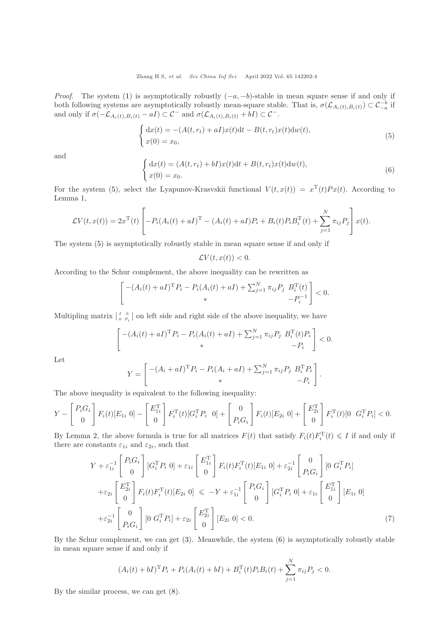*Proof.* The system [\(1\)](#page-1-0) is asymptotically robustly  $(-a, -b)$ -stable in mean square sense if and only if both following systems are asymptotically robustly mean-square stable. That is,  $\sigma(\mathcal{L}_{A_i(t),B_i(t)}) \subset \mathcal{C}_{-a}^{-b}$  if and only if  $\sigma(-\mathcal{L}_{A_i(t),B_i(t)} - aI) \subset \mathcal{C}^-$  and  $\sigma(\mathcal{L}_{A_i(t),B_i(t)} + bI) \subset \mathcal{C}^-$ .

<span id="page-3-0"></span>
$$
\begin{cases} dx(t) = -(A(t, r_t) + aI)x(t)dt - B(t, r_t)x(t)dw(t), \\ x(0) = x_0, \end{cases}
$$
\n
$$
(5)
$$

and

<span id="page-3-1"></span>
$$
\begin{cases} dx(t) = (A(t, r_t) + bI)x(t)dt + B(t, r_t)x(t)dw(t), \\ x(0) = x_0. \end{cases}
$$
\n(6)

.

For the system [\(5\)](#page-3-0), select the Lyapunov-Krasvskii functional  $V(t, x(t)) = x^{T}(t)Px(t)$ . According to Lemma 1,

$$
\mathcal{L}V(t, x(t)) = 2x^{T}(t) \left[ -P_{i}(A_{i}(t) + aI)^{T} - (A_{i}(t) + aI)P_{i} + B_{i}(t)P_{i}B_{i}^{T}(t) + \sum_{j=1}^{N} \pi_{ij}P_{j} \right] x(t).
$$

The system [\(5\)](#page-3-0) is asymptotically robustly stable in mean square sense if and only if

$$
\mathcal{L}V(t,x(t))<0.
$$

According to the Schur complement, the above inequality can be rewritten as

$$
\[ - (A_i(t) + aI)^{\mathrm{T}} P_i - P_i(A_i(t) + aI) + \sum_{j=1}^{N} \pi_{ij} P_j B_i^{\mathrm{T}}(t) \ -P_i^{-1} \] < 0.
$$

Multipling matrix  $\begin{bmatrix} I & 0 \\ 0 & P_i \end{bmatrix}$  on left side and right side of the above inequality, we have

$$
\begin{bmatrix} -(A_i(t) + aI)^{\mathrm{T}} P_i - P_i(A_i(t) + aI) + \sum_{j=1}^N \pi_{ij} P_j & B_i^{\mathrm{T}}(t) P_i \\ * & -P_i \end{bmatrix} < 0.
$$

Let

$$
Y = \begin{bmatrix} -(A_i + aI)^{\mathrm{T}} P_i - P_i(A_i + aI) + \sum_{j=1}^{N} \pi_{ij} P_j & B_i^{\mathrm{T}} P_i \\ * & -P_i \end{bmatrix}
$$

The above inequality is equivalent to the following inequality:

$$
Y - \begin{bmatrix} P_i G_i \\ 0 \end{bmatrix} F_i(t) [E_{1i} \ 0] - \begin{bmatrix} E_{1i}^{\mathrm{T}} \\ 0 \end{bmatrix} F_i^{\mathrm{T}}(t) [G_i^{\mathrm{T}} P_i \ 0] + \begin{bmatrix} 0 \\ P_i G_i \end{bmatrix} F_i(t) [E_{2i} \ 0] + \begin{bmatrix} E_{2i}^{\mathrm{T}} \\ 0 \end{bmatrix} F_i^{\mathrm{T}}(t) [0 \ G_i^{\mathrm{T}} P_i] < 0.
$$

By Lemma 2, the above formula is true for all matrices  $F(t)$  that satisfy  $F_i(t)F_i^{\mathrm{T}}(t) \leqslant I$  if and only if there are constants  $\varepsilon_{1i}$  and  $\varepsilon_{2i}$ , such that

$$
Y + \varepsilon_{1i}^{-1} \begin{bmatrix} P_i G_i \\ 0 \end{bmatrix} [G_i^{\mathrm{T}} P_i 0] + \varepsilon_{1i} \begin{bmatrix} E_{1i}^{\mathrm{T}} \\ 0 \end{bmatrix} F_i(t) F_i^{\mathrm{T}}(t) [E_{1i} 0] + \varepsilon_{2i}^{-1} \begin{bmatrix} 0 \\ P_i G_i \end{bmatrix} [0 \ G_i^{\mathrm{T}} P_i]
$$
  
+ $\varepsilon_{2i} \begin{bmatrix} E_{2i}^{\mathrm{T}} \\ 0 \end{bmatrix} F_i(t) F_i^{\mathrm{T}}(t) [E_{2i} 0] \le -Y + \varepsilon_{1i}^{-1} \begin{bmatrix} P_i G_i \\ 0 \end{bmatrix} [G_i^{\mathrm{T}} P_i 0] + \varepsilon_{1i} \begin{bmatrix} E_{1i}^{\mathrm{T}} \\ 0 \end{bmatrix} [E_{1i} 0]$   
+ $\varepsilon_{2i}^{-1} \begin{bmatrix} 0 \\ P_i G_i \end{bmatrix} [0 \ G_i^{\mathrm{T}} P_i] + \varepsilon_{2i} \begin{bmatrix} E_{2i}^{\mathrm{T}} \\ 0 \end{bmatrix} [E_{2i} 0] < 0.$  (7)

By the Schur complement, we can get [\(3\)](#page-2-0). Meanwhile, the system [\(6\)](#page-3-1) is asymptotically robustly stable in mean square sense if and only if

$$
(A_i(t) + bI)^{\mathrm{T}} P_i + P_i(A_i(t) + bI) + B_i^{\mathrm{T}}(t)P_iB_i(t) + \sum_{j=1}^N \pi_{ij}P_j < 0.
$$

By the similar process, we can get [\(8\)](#page-4-0).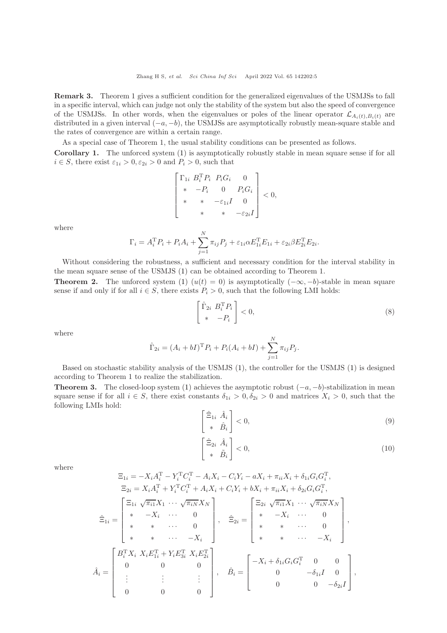Remark 3. Theorem 1 gives a sufficient condition for the generalized eigenvalues of the USMJSs to fall in a specific interval, which can judge not only the stability of the system but also the speed of convergence of the USMJSs. In other words, when the eigenvalues or poles of the linear operator  $\mathcal{L}_{A_i(t),B_i(t)}$  are distributed in a given interval  $(-a, -b)$ , the USMJSs are asymptotically robustly mean-square stable and the rates of convergence are within a certain range.

As a special case of Theorem 1, the usual stability conditions can be presented as follows.

Corollary 1. The unforced system [\(1\)](#page-1-0) is asymptotically robustly stable in mean square sense if for all  $i \in S$ , there exist  $\varepsilon_{1i} > 0, \varepsilon_{2i} > 0$  and  $P_i > 0$ , such that

$$
\begin{bmatrix}\n\Gamma_{1i} & B_i^T P_i & P_i G_i & 0 \\
\ast & -P_i & 0 & P_i G_i \\
\ast & \ast & -\varepsilon_{1i} I & 0 \\
\ast & \ast & \ast & -\varepsilon_{2i} I\n\end{bmatrix} < 0,
$$

where

$$
\Gamma_i = A_i^{\mathrm{T}} P_i + P_i A_i + \sum_{j=1}^{N} \pi_{ij} P_j + \varepsilon_{1i} \alpha E_{1i}^{\mathrm{T}} E_{1i} + \varepsilon_{2i} \beta E_{2i}^{\mathrm{T}} E_{2i}.
$$

Without considering the robustness, a sufficient and necessary condition for the interval stability in the mean square sense of the USMJS [\(1\)](#page-1-0) can be obtained according to Theorem 1.

**Theorem 2.** The unforced system [\(1\)](#page-1-0)  $(u(t) = 0)$  is asymptotically  $(-\infty, -b)$ -stable in mean square sense if and only if for all  $i \in S$ , there exists  $P_i > 0$ , such that the following LMI holds:

<span id="page-4-0"></span>
$$
\begin{bmatrix} \hat{\Gamma}_{2i} & B_i^{\mathrm{T}} P_i \\ * & -P_i \end{bmatrix} < 0,\tag{8}
$$

where

$$
\hat{\Gamma}_{2i} = (A_i + bI)^{\mathrm{T}} P_i + P_i(A_i + bI) + \sum_{j=1}^{N} \pi_{ij} P_j.
$$

Based on stochastic stability analysis of the USMJS [\(1\)](#page-1-0), the controller for the USMJS [\(1\)](#page-1-0) is designed according to Theorem 1 to realize the stabilization.

**Theorem 3.** The closed-loop system [\(1\)](#page-1-0) achieves the asymptotic robust  $(-a, -b)$ -stabilization in mean square sense if for all  $i \in S$ , there exist constants  $\delta_{1i} > 0, \delta_{2i} > 0$  and matrices  $X_i > 0$ , such that the following LMIs hold:

$$
\begin{bmatrix} \hat{\Xi}_{1i} & \hat{A}_i \\ * & \hat{B}_i \end{bmatrix} < 0,\tag{9}
$$

$$
\begin{bmatrix} \hat{\Xi}_{2i} & \hat{A}_i \\ * & \tilde{B}_i \end{bmatrix} < 0,\tag{10}
$$

where

$$
\Xi_{1i} = -X_i A_i^{\mathrm{T}} - Y_i^{\mathrm{T}} C_i^{\mathrm{T}} - A_i X_i - C_i Y_i - a X_i + \pi_{ii} X_i + \delta_{1i} G_i G_i^{\mathrm{T}},
$$
\n
$$
\Xi_{2i} = X_i A_i^{\mathrm{T}} + Y_i^{\mathrm{T}} C_i^{\mathrm{T}} + A_i X_i + C_i Y_i + b X_i + \pi_{ii} X_i + \delta_{2i} G_i G_i^{\mathrm{T}},
$$
\n
$$
\hat{\Xi}_{1i} = \begin{bmatrix}\n\Xi_{1i} & \sqrt{\pi_{i1}} X_1 & \cdots & \sqrt{\pi_{iN}} X_N \\
\ast & -X_i & \cdots & 0 \\
\ast & \ast & \cdots & 0 \\
\ast & \ast & \cdots & -X_i\n\end{bmatrix}, \quad \hat{\Xi}_{2i} = \begin{bmatrix}\n\Xi_{2i} & \sqrt{\pi_{i1}} X_1 & \cdots & \sqrt{\pi_{iN}} X_N \\
\ast & -X_i & \cdots & 0 \\
\ast & \ast & \cdots & 0 \\
\ast & \ast & \cdots & 0 \\
\ast & \ast & \cdots & -X_i\n\end{bmatrix},
$$
\n
$$
\hat{A}_i = \begin{bmatrix}\nB_i^{\mathrm{T}} X_i & X_i E_{1i}^{\mathrm{T}} + Y_i E_{3i}^{\mathrm{T}} & X_i E_{2i}^{\mathrm{T}} \\
0 & 0 & 0 \\
\vdots & \vdots & \vdots & \vdots \\
0 & 0 & 0\n\end{bmatrix}, \quad \hat{B}_i = \begin{bmatrix}\n-X_i + \delta_{1i} G_i G_i^{\mathrm{T}} & 0 & 0 \\
0 & -\delta_{1i} I & 0 \\
0 & 0 & -\delta_{2i} I\n\end{bmatrix},
$$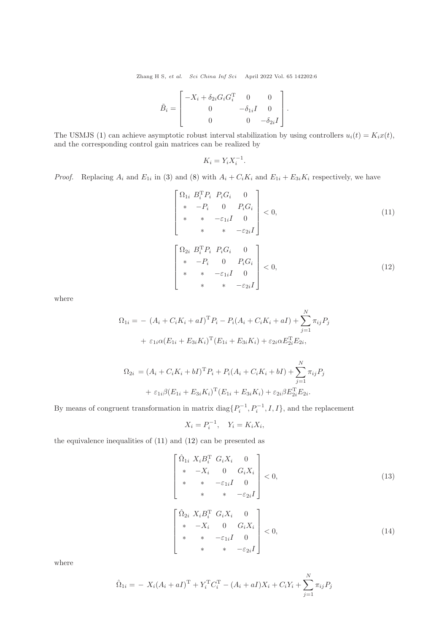Zhang H S, et al. Sci China Inf Sci April 2022 Vol. 65 142202:6

$$
\tilde{B}_i = \begin{bmatrix} -X_i + \delta_{2i} G_i G_i^{\mathrm{T}} & 0 & 0 \\ 0 & -\delta_{1i} I & 0 \\ 0 & 0 & -\delta_{2i} I \end{bmatrix}.
$$

The USMJS [\(1\)](#page-1-0) can achieve asymptotic robust interval stabilization by using controllers  $u_i(t) = K_i x(t)$ , and the corresponding control gain matrices can be realized by

$$
K_i = Y_i X_i^{-1}.
$$

*Proof.* Replacing  $A_i$  and  $E_{1i}$  in [\(3\)](#page-2-0) and [\(8\)](#page-4-0) with  $A_i + C_i K_i$  and  $E_{1i} + E_{3i} K_i$  respectively, we have

<span id="page-5-0"></span>
$$
\begin{bmatrix}\n\Omega_{1i} & B_i^{\mathrm{T}} P_i & P_i G_i & 0 \\
* & -P_i & 0 & P_i G_i \\
* & * & -\varepsilon_{1i} I & 0 \\
* & * & * & -\varepsilon_{2i} I\n\end{bmatrix} < 0,\n\begin{aligned}\n\Omega_{2i} & B_i^{\mathrm{T}} P_i & P_i G_i & 0 \\
* & -P_i & 0 & P_i G_i \\
* & * & -\varepsilon_{1i} I & 0 \\
* & * & * & -\varepsilon_{2i} I\n\end{aligned}\n\begin{bmatrix}\n\Omega_{2i} & B_i^{\mathrm{T}} P_i & P_i G_i & 0 \\
* & * & -\varepsilon_{1i} I & 0 \\
* & * & * & -\varepsilon_{2i} I\n\end{bmatrix}\n\begin{aligned}\n(11)\n\end{aligned}
$$

where

<span id="page-5-1"></span>
$$
\Omega_{1i} = - (A_i + C_i K_i + aI)^{\mathrm{T}} P_i - P_i (A_i + C_i K_i + aI) + \sum_{j=1}^{N} \pi_{ij} P_j
$$

$$
+ \varepsilon_{1i} \alpha (E_{1i} + E_{3i} K_i)^{\mathrm{T}} (E_{1i} + E_{3i} K_i) + \varepsilon_{2i} \alpha E_{2i}^{\mathrm{T}} E_{2i},
$$

$$
\Omega_{2i} = (A_i + C_i K_i + bI)^{\mathrm{T}} P_i + P_i (A_i + C_i K_i + bI) + \sum_{j=1}^{N} \pi_{ij} P_j
$$

$$
+ \varepsilon_{1i} \beta (E_{1i} + E_{3i} K_i)^{\mathrm{T}} (E_{1i} + E_{3i} K_i) + \varepsilon_{2i} \beta E_{2i}^{\mathrm{T}} E_{2i}.
$$

By means of congruent transformation in matrix  $diag\{P_i^{-1}, P_i^{-1}, I, I\}$ , and the replacement

$$
X_i = P_i^{-1}, \quad Y_i = K_i X_i,
$$

the equivalence inequalities of [\(11\)](#page-5-0) and [\(12\)](#page-5-1) can be presented as

$$
\begin{bmatrix}\n\hat{\Omega}_{1i} X_i B_i^T G_i X_i & 0 \\
* & -X_i & 0 & G_i X_i \\
* & * & -\varepsilon_{1i} I & 0 \\
* & * & * & -\varepsilon_{2i} I\n\end{bmatrix} < 0,\n\begin{aligned}\n(13) \\
* & * & -\varepsilon_{2i} I\n\end{aligned}
$$
\n
$$
\begin{bmatrix}\n\hat{\Omega}_{2i} X_i B_i^T G_i X_i & 0 \\
* & -X_i & 0 & G_i X_i \\
* & * & -\varepsilon_{1i} I & 0 \\
* & * & -\varepsilon_{1i} I & 0\n\end{bmatrix} < 0,\n\tag{14}
$$

where

$$
\hat{\Omega}_{1i} = -X_i(A_i + aI)^{\mathrm{T}} + Y_i^{\mathrm{T}} C_i^{\mathrm{T}} - (A_i + aI)X_i + C_i Y_i + \sum_{j=1}^{N} \pi_{ij} P_j
$$

\*  $*$   $-\varepsilon_{2i}I$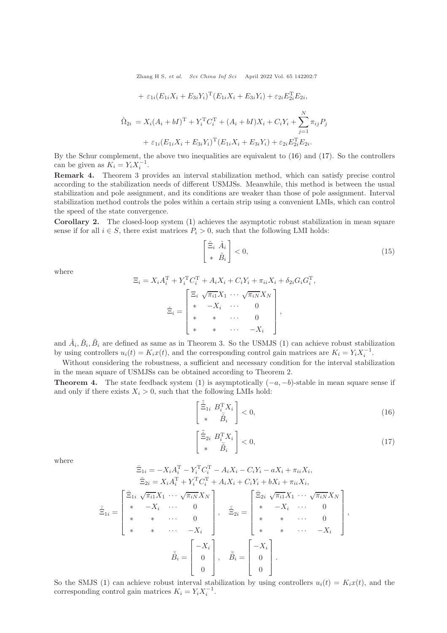Zhang H S, et al. Sci China Inf Sci April 2022 Vol. 65 142202:7

+ 
$$
\varepsilon_{1i}(E_{1i}X_i + E_{3i}Y_i)^{\mathrm{T}}(E_{1i}X_i + E_{3i}Y_i) + \varepsilon_{2i}E_{2i}^{\mathrm{T}}E_{2i},
$$
  
\n
$$
\hat{\Omega}_{2i} = X_i(A_i + bI)^{\mathrm{T}} + Y_i^{\mathrm{T}}C_i^{\mathrm{T}} + (A_i + bI)X_i + C_iY_i + \sum_{j=1}^{N} \pi_{ij}P_j + \varepsilon_{1i}(E_{1i}X_i + E_{3i}Y_i)^{\mathrm{T}}(E_{1i}X_i + E_{3i}Y_i) + \varepsilon_{2i}E_{2i}^{\mathrm{T}}E_{2i}.
$$

By the Schur complement, the above two inequalities are equivalent to [\(16\)](#page-6-0) and [\(17\)](#page-6-1). So the controllers can be given as  $K_i = Y_i X_i^{-1}$ .

Remark 4. Theorem 3 provides an interval stabilization method, which can satisfy precise control according to the stabilization needs of different USMJSs. Meanwhile, this method is between the usual stabilization and pole assignment, and its conditions are weaker than those of pole assignment. Interval stabilization method controls the poles within a certain strip using a convenient LMIs, which can control the speed of the state convergence.

Corollary 2. The closed-loop system [\(1\)](#page-1-0) achieves the asymptotic robust stabilization in mean square sense if for all  $i \in S$ , there exist matrices  $P_i > 0$ , such that the following LMI holds:

$$
\begin{bmatrix} \hat{\Xi}_i & \hat{A}_i \\ * & \tilde{B}_i \end{bmatrix} < 0,\tag{15}
$$

where

$$
\Xi_i = X_i A_i^{\mathrm{T}} + Y_i^{\mathrm{T}} C_i^{\mathrm{T}} + A_i X_i + C_i Y_i + \pi_{ii} X_i + \delta_{2i} G_i G_i^{\mathrm{T}},
$$
\n
$$
\hat{\Xi}_i = \begin{bmatrix}\n\Xi_i & \sqrt{\pi_{i1}} X_1 & \cdots & \sqrt{\pi_{iN}} X_N \\
* & -X_i & \cdots & 0 \\
* & * & \cdots & 0 \\
* & * & \cdots & -X_i\n\end{bmatrix},
$$

and  $\hat{A}_i, \hat{B}_i, \tilde{B}_i$  are defined as same as in Theorem 3. So the USMJS [\(1\)](#page-1-0) can achieve robust stabilization by using controllers  $u_i(t) = K_i x(t)$ , and the corresponding control gain matrices are  $K_i = Y_i X_i^{-1}$ .

Without considering the robustness, a sufficient and necessary condition for the interval stabilization in the mean square of USMJSs can be obtained according to Theorem 2.

**Theorem 4.** The state feedback system [\(1\)](#page-1-0) is asymptotically  $(-a, -b)$ -stable in mean square sense if and only if there exists  $X_i > 0$ , such that the following LMIs hold:

<span id="page-6-0"></span>
$$
\begin{bmatrix} \tilde{\hat{\Xi}}_{1i} & B_i^{\mathrm{T}} X_i \\ * & \bar{\hat{B}}_i \end{bmatrix} < 0,\tag{16}
$$

<span id="page-6-1"></span>
$$
\begin{bmatrix} \tilde{\hat{\Xi}}_{2i} & B_i^{\mathrm{T}} X_i \\ * & \tilde{B}_i \end{bmatrix} < 0,\tag{17}
$$

,

where

$$
\begin{aligned}\n\tilde{\Xi}_{1i} &= -X_i A_i^{\mathrm{T}} - Y_i^{\mathrm{T}} C_i^{\mathrm{T}} - A_i X_i - C_i Y_i - a X_i + \pi_{ii} X_i, \\
\tilde{\Xi}_{2i} &= X_i A_i^{\mathrm{T}} + Y_i^{\mathrm{T}} C_i^{\mathrm{T}} + A_i X_i + C_i Y_i + b X_i + \pi_{ii} X_i, \\
\tilde{\Xi}_{1i} &= \begin{bmatrix}\n\tilde{\Xi}_{1i} & \sqrt{\pi_{i1}} X_1 & \cdots & \sqrt{\pi_{iN}} X_N \\
\ast & -X_i & \cdots & 0 \\
\ast & \ast & \cdots & 0 \\
\ast & \ast & \cdots & -X_i\n\end{bmatrix}, \quad \tilde{\Xi}_{2i} = \begin{bmatrix}\n\tilde{\Xi}_{2i} & \sqrt{\pi_{i1}} X_1 & \cdots & \sqrt{\pi_{iN}} X_N \\
\ast & -X_i & \cdots & 0 \\
\ast & \ast & \cdots & 0 \\
\ast & \ast & \cdots & 0 \\
\ast & \ast & \cdots & -X_i\n\end{bmatrix} \\
\tilde{\bar{B}}_i &= \begin{bmatrix}\n-X_i \\
0 \\
0 \\
\end{bmatrix}, \quad \tilde{\bar{B}}_i = \begin{bmatrix}\n-X_i \\
0 \\
0 \\
\end{bmatrix}.\n\end{aligned}
$$

So the SMJS [\(1\)](#page-1-0) can achieve robust interval stabilization by using controllers  $u_i(t) = K_i x(t)$ , and the corresponding control gain matrices  $K_i = Y_i X_i^{-1}$ .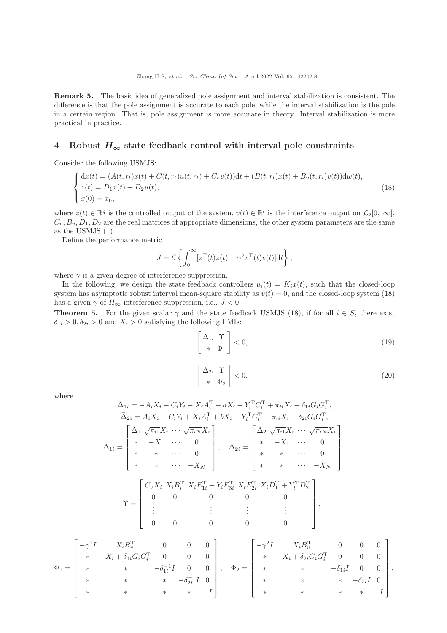Remark 5. The basic idea of generalized pole assignment and interval stabilization is consistent. The difference is that the pole assignment is accurate to each pole, while the interval stabilization is the pole in a certain region. That is, pole assignment is more accurate in theory. Interval stabilization is more practical in practice.

## 4 Robust  $H_{\infty}$  state feedback control with interval pole constraints

Consider the following USMJS:

<span id="page-7-0"></span>
$$
\begin{cases}\ndx(t) = (A(t, r_t)x(t) + C(t, r_t)u(t, r_t) + C_vv(t))dt + (B(t, r_t)x(t) + B_v(t, r_t)v(t))dw(t), \\
z(t) = D_1x(t) + D_2u(t), \\
x(0) = x_0,\n\end{cases}
$$
\n(18)

where  $z(t) \in \mathbb{R}^q$  is the controlled output of the system,  $v(t) \in \mathbb{R}^l$  is the interference output on  $\mathcal{L}_2[0, \infty]$ ,  $C_v, B_v, D_1, D_2$  are the real matrices of appropriate dimensions, the other system parameters are the same as the USMJS [\(1\)](#page-1-0).

Define the performance metric

$$
J = \mathcal{E}\left\{\int_0^\infty [z^{\mathrm{T}}(t)z(t) - \gamma^2 v^{\mathrm{T}}(t)v(t)]dt\right\},\,
$$

where  $\gamma$  is a given degree of interference suppression.

In the following, we design the state feedback controllers  $u_i(t) = K_i x(t)$ , such that the closed-loop system has asymptotic robust interval mean-square stability as  $v(t) = 0$ , and the closed-loop system [\(18\)](#page-7-0) has a given  $\gamma$  of  $H_{\infty}$  interference suppression, i.e.,  $J < 0$ .

**Theorem 5.** For the given scalar  $\gamma$  and the state feedback USMJS [\(18\)](#page-7-0), if for all  $i \in S$ , there exist  $\delta_{1i} > 0$ ,  $\delta_{2i} > 0$  and  $X_i > 0$  satisfying the following LMIs:

<span id="page-7-1"></span>
$$
\begin{bmatrix} \Delta_{1i} & \Upsilon \\ * & \Phi_1 \end{bmatrix} < 0, \tag{19}
$$

<span id="page-7-2"></span>
$$
\left[\begin{array}{cc} \Delta_{2i} & \Upsilon \\ * & \Phi_2 \end{array}\right] < 0,\tag{20}
$$

where

 $\mathsf{r}$ 

$$
\bar{\Delta}_{1i} = -A_{i}X_{i} - C_{i}Y_{i} - X_{i}A_{i}^{T} - aX_{i} - Y_{i}^{T}C_{i}^{T} + \pi_{ii}X_{i} + \delta_{1i}G_{i}G_{i}^{T},
$$
\n
$$
\bar{\Delta}_{2i} = A_{i}X_{i} + C_{i}Y_{i} + X_{i}A_{i}^{T} + bX_{i} + Y_{i}^{T}C_{i}^{T} + \pi_{ii}X_{i} + \delta_{2i}G_{i}G_{i}^{T},
$$
\n
$$
\Delta_{1i} = \begin{bmatrix}\n\bar{\Delta}_{1} & \sqrt{\pi_{i1}}X_{i} & \cdots & \sqrt{\pi_{iN}}X_{i} \\
\ast & -X_{1} & \cdots & 0 \\
\ast & \ast & \cdots & 0 \\
\ast & \ast & \cdots & 0 \\
\ast & \ast & \cdots & -X_{N}\n\end{bmatrix}, \quad \Delta_{2i} = \begin{bmatrix}\n\bar{\Delta}_{2} & \sqrt{\pi_{i1}}X_{i} & \cdots & \sqrt{\pi_{iN}}X_{i} \\
\ast & -X_{1} & \cdots & 0 \\
\ast & \ast & \cdots & 0 \\
\ast & \ast & \cdots & 0 \\
\ast & \ast & \cdots & -X_{N}\n\end{bmatrix},
$$
\n
$$
\Upsilon = \begin{bmatrix}\nC_{v}X_{i} & X_{i}B_{i}^{T} & X_{i}E_{1i}^{T} + Y_{i}E_{3i}^{T} & X_{i}E_{2i}^{T} & X_{i}D_{1}^{T} + Y_{i}^{T}D_{2}^{T} \\
0 & 0 & 0 & 0 \\
\vdots & \vdots & \vdots & \vdots \\
0 & 0 & 0 & 0\n\end{bmatrix},
$$
\n
$$
X_{i}B_{v}^{T} = 0 \quad 0 \quad 0 \quad 0 \quad 0 \quad 0 \quad 0
$$

$$
\Phi_1 = \begin{bmatrix}\n-\gamma^2 I & X_i B_v^{\mathrm{T}} & 0 & 0 & 0 \\
* & -X_i + \delta_{1i} G_i G_i^{\mathrm{T}} & 0 & 0 & 0 \\
* & * & -\delta_{1i}^{-1} I & 0 & 0 \\
* & * & * & -\delta_{2i}^{-1} I & 0 \\
* & * & * & * & -I\n\end{bmatrix}, \quad \Phi_2 = \begin{bmatrix}\n-\gamma^2 I & X_i B_v^{\mathrm{T}} & 0 & 0 & 0 \\
* & -X_i + \delta_{2i} G_i G_i^{\mathrm{T}} & 0 & 0 & 0 \\
* & * & * & -\delta_{1i} I & 0 & 0 \\
* & * & * & * & -I\n\end{bmatrix},
$$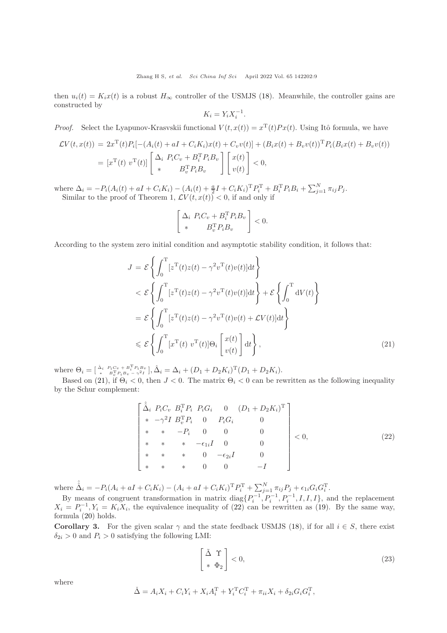then  $u_i(t) = K_i x(t)$  is a robust  $H_{\infty}$  controller of the USMJS [\(18\)](#page-7-0). Meanwhile, the controller gains are constructed by

$$
K_i = Y_i X_i^{-1}.
$$

*Proof.* Select the Lyapunov-Krasvskii functional  $V(t, x(t)) = x^{T}(t)Px(t)$ . Using Itô formula, we have

$$
\mathcal{L}V(t, x(t)) = 2x^{\mathrm{T}}(t)P_i[-(A_i(t) + aI + C_iK_i)x(t) + C_vv(t)] + (B_ix(t) + B_vv(t))^{\mathrm{T}}P_i(B_ix(t) + B_vv(t))
$$
  
=  $[x^{\mathrm{T}}(t) v^{\mathrm{T}}(t)] \begin{bmatrix} \Delta_i & P_iC_v + B_i^{\mathrm{T}}P_iB_v \\ * & B_v^{\mathrm{T}}P_iB_v \end{bmatrix} \begin{bmatrix} x(t) \\ v(t) \end{bmatrix} < 0,$ 

where  $\Delta_i = -P_i(A_i(t) + aI + C_iK_i) - (A_i(t) + \frac{a}{2}I + C_iK_i)^T P_i^T + B_i^T P_i B_i + \sum_{j=1}^N \pi_{ij} P_j$ . Similar to the proof of Theorem 1,  $\mathcal{L}V(t, x(t)) < 0$ , if and only if

$$
\begin{bmatrix}\n\Delta_i & P_i C_v + B_i^{\mathrm{T}} P_i B_v \\
\ast & B_v^{\mathrm{T}} P_i B_v\n\end{bmatrix} < 0.
$$

According to the system zero initial condition and asymptotic stability condition, it follows that:

<span id="page-8-0"></span>
$$
J = \mathcal{E} \left\{ \int_0^T [z^{\mathrm{T}}(t)z(t) - \gamma^2 v^{\mathrm{T}}(t)v(t)] \mathrm{d}t \right\}
$$
  

$$
< \mathcal{E} \left\{ \int_0^T [z^{\mathrm{T}}(t)z(t) - \gamma^2 v^{\mathrm{T}}(t)v(t)] \mathrm{d}t \right\} + \mathcal{E} \left\{ \int_0^T \mathrm{d}V(t) \right\}
$$
  

$$
= \mathcal{E} \left\{ \int_0^T [z^{\mathrm{T}}(t)z(t) - \gamma^2 v^{\mathrm{T}}(t)v(t) + \mathcal{L}V(t)] \mathrm{d}t \right\}
$$
  

$$
\leq \mathcal{E} \left\{ \int_0^T [x^{\mathrm{T}}(t) v^{\mathrm{T}}(t)] \Theta_i \left[ \left[ \frac{x(t)}{v(t)} \right] \mathrm{d}t \right],
$$
 (21)

where  $\Theta_i = \begin{bmatrix} \Delta_i & P_i C_v + B_i^{\mathrm{T}} P_i B_v \\ * & B_v^{\mathrm{T}} P_i B_v - \gamma^2 I \end{bmatrix}, \hat{\Delta}_i = \Delta_i + (D_1 + D_2 K_i)^{\mathrm{T}} (D_1 + D_2 K_i).$ 

Based on [\(21\)](#page-8-0), if  $\Theta_i < 0$ , then  $J < 0$ . The matrix  $\Theta_i < 0$  can be rewritten as the following inequality by the Schur complement:

<span id="page-8-1"></span>
$$
\begin{bmatrix}\n\hat{\Delta}_i & P_i C_v & B_i^{\mathrm{T}} P_i & P_i G_i & 0 & (D_1 + D_2 K_i)^{\mathrm{T}} \\
* & -\gamma^2 I & B_v^{\mathrm{T}} P_i & 0 & P_i G_i & 0 \\
* & * & -P_i & 0 & 0 & 0 \\
* & * & * & -\epsilon_{1i} I & 0 & 0 \\
* & * & * & 0 & -\epsilon_{2i} I & 0 \\
* & * & * & 0 & 0 & -I\n\end{bmatrix} < 0,
$$
\n(22)

where  $\hat{\hat{\Delta}}_i = -P_i(A_i + aI + C_i K_i) - (A_i + aI + C_i K_i)^{\mathrm{T}} P_i^{\mathrm{T}} + \sum_{j=1}^{N} \pi_{ij} P_j + \epsilon_{1i} G_i G_i^{\mathrm{T}}.$ 

By means of congruent transformation in matrix  $diag\{P_i^{-1}, P_i^{-1}, P_i^{-1}, I, I, I\}$ , and the replacement  $X_i = P_i^{-1}, Y_i = K_i X_i$ , the equivalence inequality of [\(22\)](#page-8-1) can be rewritten as [\(19\)](#page-7-1). By the same way, formula [\(20\)](#page-7-2) holds.

**Corollary 3.** For the given scalar  $\gamma$  and the state feedback USMJS [\(18\)](#page-7-0), if for all  $i \in S$ , there exist  $\delta_{2i} > 0$  and  $P_i > 0$  satisfying the following LMI:

$$
\left[\begin{array}{cc} \tilde{\Delta} & \Upsilon \\ * & \Phi_2 \end{array}\right] < 0,\tag{23}
$$

where

$$
\check{\Delta} = A_i X_i + C_i Y_i + X_i A_i^{\mathrm{T}} + Y_i^{\mathrm{T}} C_i^{\mathrm{T}} + \pi_{ii} X_i + \delta_{2i} G_i G_i^{\mathrm{T}},
$$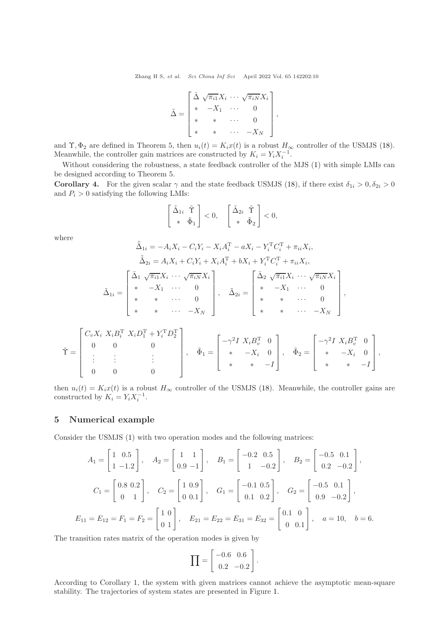Zhang H S, et al. Sci China Inf Sci April 2022 Vol. 65 142202:10

$$
\tilde{\Delta} = \begin{bmatrix} \check{\Delta} & \sqrt{\pi_{i1}} X_i & \cdots & \sqrt{\pi_{iN}} X_i \\ * & -X_1 & \cdots & 0 \\ * & * & \cdots & 0 \\ * & * & \cdots & -X_N \end{bmatrix},
$$

and  $\Upsilon$ ,  $\Phi_2$  are defined in Theorem 5, then  $u_i(t) = K_i x(t)$  is a robust  $H_{\infty}$  controller of the USMJS [\(18\)](#page-7-0). Meanwhile, the controller gain matrices are constructed by  $K_i = Y_i X_i^{-1}$ .

Without considering the robustness, a state feedback controller of the MJS [\(1\)](#page-1-0) with simple LMIs can be designed according to Theorem 5.

**Corollary 4.** For the given scalar  $\gamma$  and the state feedback USMJS [\(18\)](#page-7-0), if there exist  $\delta_{1i} > 0$ ,  $\delta_{2i} > 0$ and  $P_i > 0$  satisfying the following LMIs:

$$
\begin{bmatrix} \tilde{\Delta}_{1i} & \tilde{\Upsilon} \\ * & \tilde{\Phi}_1 \end{bmatrix} < 0, \quad \begin{bmatrix} \tilde{\Delta}_{2i} & \tilde{\Upsilon} \\ * & \tilde{\Phi}_2 \end{bmatrix} < 0,
$$

where

$$
\tilde{\Delta}_{1i} = -A_{i}X_{i} - C_{i}Y_{i} - X_{i}A_{i}^{T} - aX_{i} - Y_{i}^{T}C_{i}^{T} + \pi_{ii}X_{i},
$$
\n
$$
\tilde{\Delta}_{2i} = A_{i}X_{i} + C_{i}Y_{i} + X_{i}A_{i}^{T} + bX_{i} + Y_{i}^{T}C_{i}^{T} + \pi_{ii}X_{i},
$$
\n
$$
\tilde{\Delta}_{1i} = \begin{bmatrix}\n\bar{\Delta}_{1} & \sqrt{\pi_{i1}}X_{i} & \cdots & \sqrt{\pi_{iN}}X_{i} \\
* & -X_{1} & \cdots & 0 \\
* & * & \cdots & 0 \\
* & * & \cdots & -X_{N}\n\end{bmatrix}, \quad\n\tilde{\Delta}_{2i} = \begin{bmatrix}\n\bar{\Delta}_{2} & \sqrt{\pi_{i1}}X_{i} & \cdots & \sqrt{\pi_{iN}}X_{i} \\
* & -X_{1} & \cdots & 0 \\
* & * & \cdots & 0 \\
* & * & \cdots & -X_{N}\n\end{bmatrix},
$$
\n
$$
\begin{bmatrix}\nC_{v}X_{i} & X_{i}B_{i}^{T} & X_{i}D_{1}^{T} + Y_{i}^{T}D_{2}^{T} \\
\vdots & \vdots & \vdots & \vdots \\
C_{v}A_{i} & X_{i}B_{i}^{T} & X_{i}D_{i}^{T} + Y_{i}^{T}D_{i}^{T}\n\end{bmatrix} \qquad\n\begin{bmatrix}\n-\gamma^{2}I & X_{i}B_{i}^{T} & 0\n\end{bmatrix}, \qquad\n\begin{bmatrix}\n-\gamma^{2}I & X_{i}B_{i}^{T} & 0\n\end{bmatrix}
$$

$$
\tilde{\Upsilon} = \begin{bmatrix} 0 & 0 & 0 & 0 \\ 0 & 0 & 0 & 0 \\ \vdots & \vdots & \vdots & \vdots \\ 0 & 0 & 0 & 0 \end{bmatrix}, \quad \tilde{\Phi}_1 = \begin{bmatrix} -\gamma^2 I & X_i B_v^T & 0 \\ * & -X_i & 0 \\ * & * & -I \end{bmatrix}, \quad \tilde{\Phi}_2 = \begin{bmatrix} -\gamma^2 I & X_i B_v^T & 0 \\ * & -X_i & 0 \\ * & * & -I \end{bmatrix},
$$

then  $u_i(t) = K_i x(t)$  is a robust  $H_{\infty}$  controller of the USMJS [\(18\)](#page-7-0). Meanwhile, the controller gains are constructed by  $K_i = Y_i X_i^{-1}$ .

### 5 Numerical example

Consider the USMJS [\(1\)](#page-1-0) with two operation modes and the following matrices:

$$
A_1 = \begin{bmatrix} 1 & 0.5 \\ 1 & -1.2 \end{bmatrix}, \quad A_2 = \begin{bmatrix} 1 & 1 \\ 0.9 & -1 \end{bmatrix}, \quad B_1 = \begin{bmatrix} -0.2 & 0.5 \\ 1 & -0.2 \end{bmatrix}, \quad B_2 = \begin{bmatrix} -0.5 & 0.1 \\ 0.2 & -0.2 \end{bmatrix},
$$

$$
C_1 = \begin{bmatrix} 0.8 & 0.2 \\ 0 & 1 \end{bmatrix}, \quad C_2 = \begin{bmatrix} 1 & 0.9 \\ 0 & 0.1 \end{bmatrix}, \quad G_1 = \begin{bmatrix} -0.1 & 0.5 \\ 0.1 & 0.2 \end{bmatrix}, \quad G_2 = \begin{bmatrix} -0.5 & 0.1 \\ 0.9 & -0.2 \end{bmatrix},
$$

$$
E_{11} = E_{12} = F_1 = F_2 = \begin{bmatrix} 1 & 0 \\ 0 & 1 \end{bmatrix}, \quad E_{21} = E_{22} = E_{31} = E_{32} = \begin{bmatrix} 0.1 & 0 \\ 0 & 0.1 \end{bmatrix}, \quad a = 10, \quad b = 6.
$$

The transition rates matrix of the operation modes is given by

$$
\prod = \left[\begin{array}{cc} -0.6 & 0.6\\ 0.2 & -0.2 \end{array}\right].
$$

According to Corollary 1, the system with given matrices cannot achieve the asymptotic mean-square stability. The trajectories of system states are presented in Figure [1.](#page-10-0)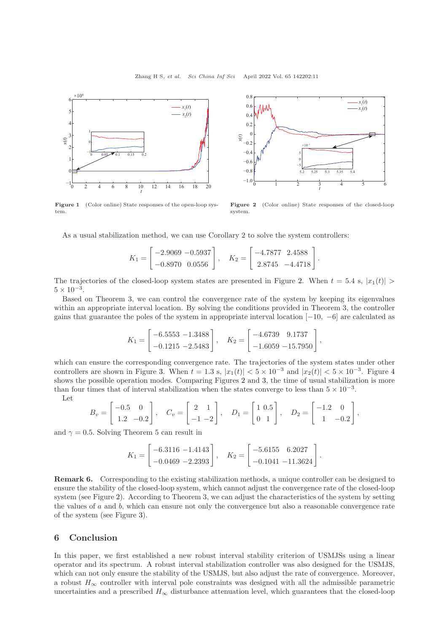<span id="page-10-0"></span>

Figure 1 (Color online) State responses of the open-loop system.



Figure 2 (Color online) State responses of the closed-loop system.

As a usual stabilization method, we can use Corollary 2 to solve the system controllers:

$$
K_1 = \begin{bmatrix} -2.9069 & -0.5937 \\ -0.8970 & 0.0556 \end{bmatrix}, \quad K_2 = \begin{bmatrix} -4.7877 & 2.4588 \\ 2.8745 & -4.4718 \end{bmatrix}.
$$

The trajectories of the closed-loop system states are presented in Figure [2.](#page-10-0) When  $t = 5.4$  s,  $|x_1(t)| >$  $5 \times 10^{-3}$ .

Based on Theorem 3, we can control the convergence rate of the system by keeping its eigenvalues within an appropriate interval location. By solving the conditions provided in Theorem 3, the controller gains that guarantee the poles of the system in appropriate interval location [−10, −6] are calculated as

$$
K_1 = \begin{bmatrix} -6.5553 & -1.3488 \\ -0.1215 & -2.5483 \end{bmatrix}, \quad K_2 = \begin{bmatrix} -4.6739 & 9.1737 \\ -1.6059 & -15.7950 \end{bmatrix},
$$

which can ensure the corresponding convergence rate. The trajectories of the system states under other controllers are shown in Figure [3.](#page-11-9) When  $t = 1.3$  s,  $|x_1(t)| < 5 \times 10^{-3}$  and  $|x_2(t)| < 5 \times 10^{-3}$ . Figure [4](#page-11-9) shows the possible operation modes. Comparing Figures [2](#page-10-0) and [3,](#page-11-9) the time of usual stabilization is more than four times that of interval stabilization when the states converge to less than  $5 \times 10^{-3}$ .

Let

$$
B_v = \begin{bmatrix} -0.5 & 0 \\ 1.2 & -0.2 \end{bmatrix}, \quad C_v = \begin{bmatrix} 2 & 1 \\ -1 & -2 \end{bmatrix}, \quad D_1 = \begin{bmatrix} 1 & 0.5 \\ 0 & 1 \end{bmatrix}, \quad D_2 = \begin{bmatrix} -1.2 & 0 \\ 1 & -0.2 \end{bmatrix},
$$

and  $\gamma = 0.5$ . Solving Theorem 5 can result in

$$
K_1 = \begin{bmatrix} -6.3116 & -1.4143 \\ -0.0469 & -2.2393 \end{bmatrix}, \quad K_2 = \begin{bmatrix} -5.6155 & 6.2027 \\ -0.1041 & -11.3624 \end{bmatrix}.
$$

Remark 6. Corresponding to the existing stabilization methods, a unique controller can be designed to ensure the stability of the closed-loop system, which cannot adjust the convergence rate of the closed-loop system (see Figure [2\)](#page-10-0). According to Theorem 3, we can adjust the characteristics of the system by setting the values of  $a$  and  $b$ , which can ensure not only the convergence but also a reasonable convergence rate of the system (see Figure [3\)](#page-11-9).

## 6 Conclusion

In this paper, we first established a new robust interval stability criterion of USMJSs using a linear operator and its spectrum. A robust interval stabilization controller was also designed for the USMJS, which can not only ensure the stability of the USMJS, but also adjust the rate of convergence. Moreover, a robust  $H_{\infty}$  controller with interval pole constraints was designed with all the admissible parametric uncertainties and a prescribed  $H_{\infty}$  disturbance attenuation level, which guarantees that the closed-loop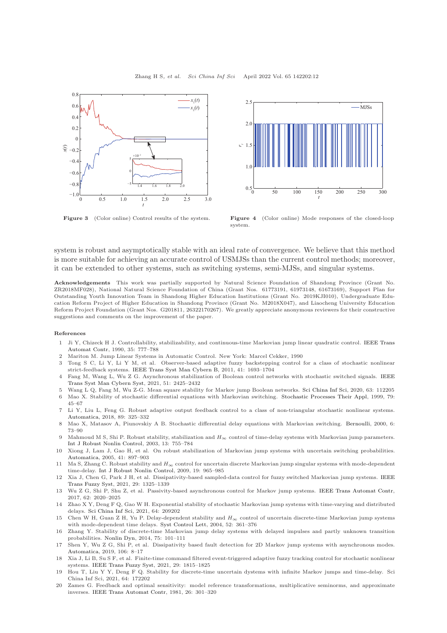<span id="page-11-9"></span>



Figure 3 (Color online) Control results of the system. Figure 4 (Color online) Mode responses of the closed-loop system.

system is robust and asymptotically stable with an ideal rate of convergence. We believe that this method is more suitable for achieving an accurate control of USMJSs than the current control methods; moreover, it can be extended to other systems, such as switching systems, semi-MJSs, and singular systems.

Acknowledgements This work was partially supported by Natural Science Foundation of Shandong Province (Grant No. ZR2018MF028), National Natural Science Foundation of China (Grant Nos. 61773191, 61973148, 61673169), Support Plan for Outstanding Youth Innovation Team in Shandong Higher Education Institutions (Grant No. 2019KJI010), Undergraduate Education Reform Project of Higher Education in Shandong Province (Grant No. M2018X047), and Liaocheng University Education Reform Project Foundation (Grant Nos. G201811, 26322170267). We greatly appreciate anonymous reviewers for their constructive suggestions and comments on the improvement of the paper.

#### <span id="page-11-0"></span>References

- 1 Ji Y, Chizeck [H J. Controllability, stabilizability, and continuous-time Markovian jump linear quadratic control.](https://doi.org/10.1109/9.57016) IEEE Trans Automat Contr, 1990, 35: 777–788
- 2 Mariton M. Jump Linear Systems in Automatic Control. New York: Marcel Cekker, 1990
- 3 Tong S C, Li Y, Li Y M, et al. Observer-based adaptive fuzzy backstepping control for a class of stochastic nonlinear strict-feedback systems. [IEEE Trans Syst Man Cybern B,](https://doi.org/10.1109/TSMCB.2011.2159264) 2011, 41: 1693–1704
- 4 Fang M, Wang L, Wu Z G. Asynchronous stabilization of Boolean control networks with stochastic switched signals. IEEE Trans Syst Man Cybern Syst, 2021, 51: 2425–2432
- <span id="page-11-2"></span><span id="page-11-1"></span>5 Wang L Q, Fang M, Wu Z-G. Mean square stability for Markov jump Boolean networks. [Sci China Inf Sci,](https://doi.org/10.1007/s11432-019-9934-5) 2020, 63: 112205 6 Mao X. Stability of stochastic differential equations with Markovian switching. [Stochastic Processes Their Appl,](https://doi.org/10.1016/S0304-4149(98)00070-2) 1999, 79:
- 45–67 7 Li Y, Liu L, Feng G. Robust adaptive output feedback control to a class of non-triangular stochastic nonlinear systems.
- [Automatica,](https://doi.org/10.1016/j.automatica.2017.12.020) 2018, 89: 325–332
- <span id="page-11-3"></span>8 Mao X, Matasov A, Piunovskiy A B. Stochastic differential delay equations with Markovian switching. [Bernoulli,](https://doi.org/10.2307/3318634) 2000, 6: 73–90
- <span id="page-11-4"></span>9 Mahmoud M S, Shi P. Robust stability, stabilization and  $H_{\infty}$  control of time-delay systems with Markovian jump parameters. [Int J Robust Nonlin Control,](https://doi.org/10.1002/rnc.744) 2003, 13: 755–784
- 10 Xiong J, Lam J, Gao H, et al. On robust stabilization of Markovian jump systems with uncertain switching probabilities. [Automatica,](https://doi.org/10.1016/j.automatica.2004.12.001) 2005, 41: 897–903
- 11 Ma S, Zhang C. Robust stability and  $H_{\infty}$  control for uncertain discrete Markovian jump singular systems with mode-dependent time-delay. [Int J Robust Nonlin Control,](https://doi.org/10.1002/rnc.1357) 2009, 19: 965–985
- 12 Xia J, Chen G, Park J H, et al. Dissipativity-based sampled-data control for fuzzy switched Markovian jump systems. IEEE Trans Fuzzy Syst, 2021, 29: 1325–1339
- 13 Wu Z G, Shi P, Shu Z, et al. Passivity-based asynchronous control for Markov jump systems. [IEEE Trans Automat Contr,](https://doi.org/10.1109/TAC.2016.2593742) 2017, 62: 2020–2025
- <span id="page-11-5"></span>14 Zhao X Y, Deng F Q, Gao W H. Exponential stability of stochastic Markovian jump systems with time-varying and distributed delays. [Sci China Inf Sci,](https://doi.org/10.1007/s11432-018-9800-3) 2021, 64: 209202
- <span id="page-11-6"></span>15 Chen W H, Guan Z H, Yu P. Delay-dependent stability and  $H_{\infty}$  control of uncertain discrete-time Markovian jump systems with mode-dependent time delays. [Syst Control Lett,](https://doi.org/10.1016/j.sysconle.2004.02.012) 2004, 52: 361–376
- 16 Zhang Y. Stability of discrete-time Markovian jump delay systems with delayed impulses and partly unknown transition probabilities. [Nonlin Dyn,](https://doi.org/10.1007/s11071-013-1052-z) 2014, 75: 101–111
- 17 Shen Y, Wu Z G, Shi P, et al. Dissipativity based fault detection for 2D Markov jump systems with asynchronous modes. [Automatica,](https://doi.org/10.1016/j.automatica.2019.04.020) 2019, 106: 8–17
- 18 Xia J, Li B, Su S F, et al. Finite-time command filtered event-triggered adaptive fuzzy tracking control for stochastic nonlinear systems. [IEEE Trans Fuzzy Syst,](https://doi.org/10.1109/TFUZZ.2020.2985638) 2021, 29: 1815–1825
- <span id="page-11-7"></span>19 Hou T, Liu Y Y, Deng F Q. Stability for discrete-time uncertain dystems with infinite Markov jumps and time-delay. Sci China Inf Sci, 2021, 64: 172202
- <span id="page-11-8"></span>20 Zames G. Feedback and optimal sensitivity: model reference transformations, multiplicative seminorms, and approximate inverses. [IEEE Trans Automat Contr,](https://doi.org/10.1109/TAC.1981.1102603) 1981, 26: 301–320